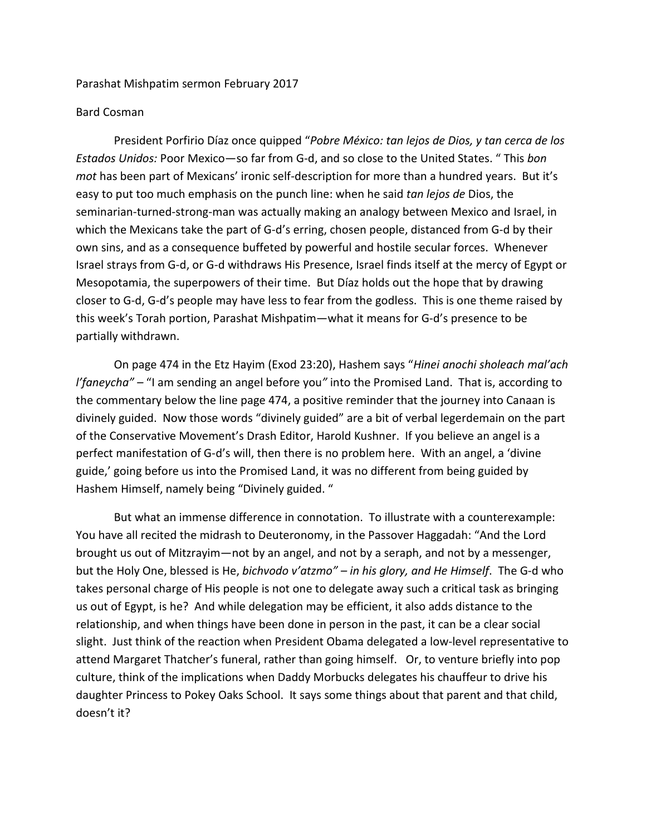Parashat Mishpatim sermon February 2017

## Bard Cosman

President Porfirio Díaz once quipped "*Pobre México: tan lejos de Dios, y tan cerca de los Estados Unidos:* Poor Mexico—so far from G-d, and so close to the United States. " This *bon mot* has been part of Mexicans' ironic self-description for more than a hundred years. But it's easy to put too much emphasis on the punch line: when he said *tan lejos de* Dios, the seminarian-turned-strong-man was actually making an analogy between Mexico and Israel, in which the Mexicans take the part of G-d's erring, chosen people, distanced from G-d by their own sins, and as a consequence buffeted by powerful and hostile secular forces. Whenever Israel strays from G-d, or G-d withdraws His Presence, Israel finds itself at the mercy of Egypt or Mesopotamia, the superpowers of their time. But Díaz holds out the hope that by drawing closer to G-d, G-d's people may have less to fear from the godless. This is one theme raised by this week's Torah portion, Parashat Mishpatim—what it means for G-d's presence to be partially withdrawn.

On page 474 in the Etz Hayim (Exod 23:20), Hashem says "*Hinei anochi sholeach mal'ach l'faneycha" –* "I am sending an angel before you*"* into the Promised Land. That is, according to the commentary below the line page 474, a positive reminder that the journey into Canaan is divinely guided. Now those words "divinely guided" are a bit of verbal legerdemain on the part of the Conservative Movement's Drash Editor, Harold Kushner. If you believe an angel is a perfect manifestation of G-d's will, then there is no problem here. With an angel, a 'divine guide,' going before us into the Promised Land, it was no different from being guided by Hashem Himself, namely being "Divinely guided. "

But what an immense difference in connotation. To illustrate with a counterexample: You have all recited the midrash to Deuteronomy, in the Passover Haggadah: "And the Lord brought us out of Mitzrayim—not by an angel, and not by a seraph, and not by a messenger, but the Holy One, blessed is He, *bichvodo v'atzmo" – in his glory, and He Himself*. The G-d who takes personal charge of His people is not one to delegate away such a critical task as bringing us out of Egypt, is he? And while delegation may be efficient, it also adds distance to the relationship, and when things have been done in person in the past, it can be a clear social slight. Just think of the reaction when President Obama delegated a low-level representative to attend Margaret Thatcher's funeral, rather than going himself. Or, to venture briefly into pop culture, think of the implications when Daddy Morbucks delegates his chauffeur to drive his daughter Princess to Pokey Oaks School. It says some things about that parent and that child, doesn't it?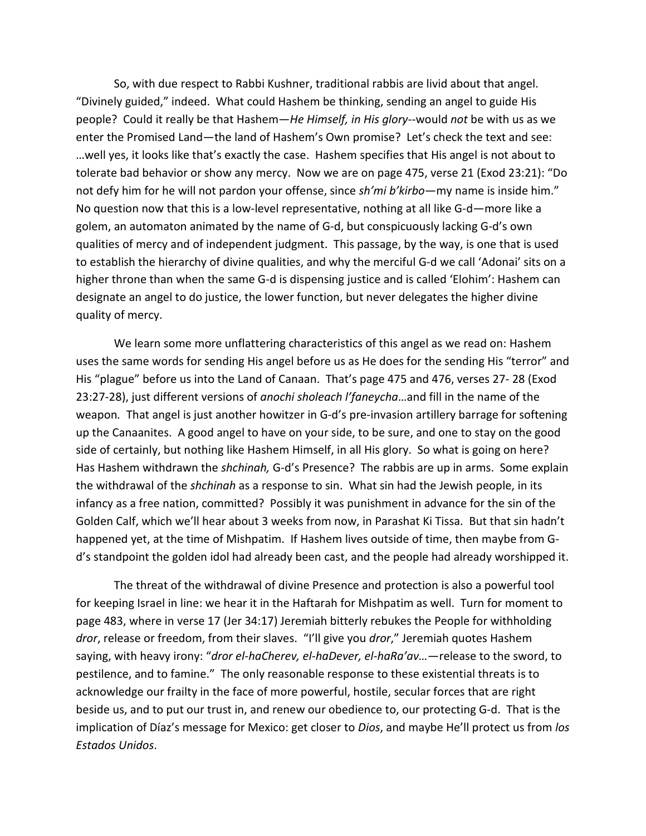So, with due respect to Rabbi Kushner, traditional rabbis are livid about that angel. "Divinely guided," indeed. What could Hashem be thinking, sending an angel to guide His people? Could it really be that Hashem—*He Himself, in His glory*--would *not* be with us as we enter the Promised Land—the land of Hashem's Own promise? Let's check the text and see: …well yes, it looks like that's exactly the case. Hashem specifies that His angel is not about to tolerate bad behavior or show any mercy. Now we are on page 475, verse 21 (Exod 23:21): "Do not defy him for he will not pardon your offense, since *sh'mi b'kirbo—*my name is inside him." No question now that this is a low-level representative, nothing at all like G-d—more like a golem, an automaton animated by the name of G-d, but conspicuously lacking G-d's own qualities of mercy and of independent judgment. This passage, by the way, is one that is used to establish the hierarchy of divine qualities, and why the merciful G-d we call 'Adonai' sits on a higher throne than when the same G-d is dispensing justice and is called 'Elohim': Hashem can designate an angel to do justice, the lower function, but never delegates the higher divine quality of mercy.

We learn some more unflattering characteristics of this angel as we read on: Hashem uses the same words for sending His angel before us as He does for the sending His "terror" and His "plague" before us into the Land of Canaan. That's page 475 and 476, verses 27- 28 (Exod 23:27-28), just different versions of *anochi sholeach l'faneycha*…and fill in the name of the weapon*.* That angel is just another howitzer in G-d's pre-invasion artillery barrage for softening up the Canaanites. A good angel to have on your side, to be sure, and one to stay on the good side of certainly, but nothing like Hashem Himself, in all His glory. So what is going on here? Has Hashem withdrawn the *shchinah,* G-d's Presence? The rabbis are up in arms. Some explain the withdrawal of the *shchinah* as a response to sin. What sin had the Jewish people, in its infancy as a free nation, committed? Possibly it was punishment in advance for the sin of the Golden Calf, which we'll hear about 3 weeks from now, in Parashat Ki Tissa. But that sin hadn't happened yet, at the time of Mishpatim. If Hashem lives outside of time, then maybe from Gd's standpoint the golden idol had already been cast, and the people had already worshipped it.

The threat of the withdrawal of divine Presence and protection is also a powerful tool for keeping Israel in line: we hear it in the Haftarah for Mishpatim as well. Turn for moment to page 483, where in verse 17 (Jer 34:17) Jeremiah bitterly rebukes the People for withholding *dror*, release or freedom, from their slaves. "I'll give you *dror*," Jeremiah quotes Hashem saying, with heavy irony: "*dror el-haCherev, el-haDever, el-haRa'av…*—release to the sword, to pestilence, and to famine." The only reasonable response to these existential threats is to acknowledge our frailty in the face of more powerful, hostile, secular forces that are right beside us, and to put our trust in, and renew our obedience to, our protecting G-d. That is the implication of Díaz's message for Mexico: get closer to *Dios*, and maybe He'll protect us from *los Estados Unidos*.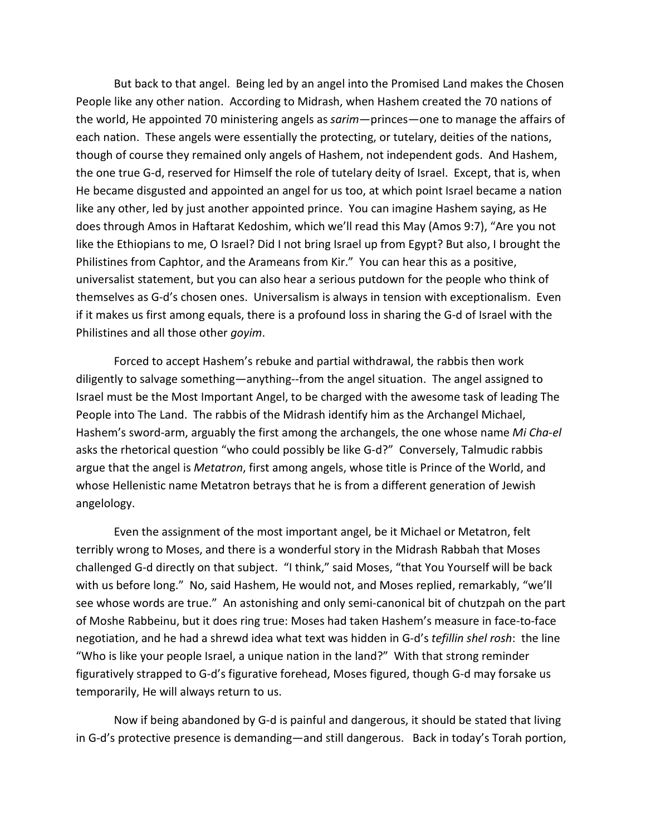But back to that angel. Being led by an angel into the Promised Land makes the Chosen People like any other nation. According to Midrash, when Hashem created the 70 nations of the world, He appointed 70 ministering angels as *sarim*—princes—one to manage the affairs of each nation. These angels were essentially the protecting, or tutelary, deities of the nations, though of course they remained only angels of Hashem, not independent gods. And Hashem, the one true G-d, reserved for Himself the role of tutelary deity of Israel. Except, that is, when He became disgusted and appointed an angel for us too, at which point Israel became a nation like any other, led by just another appointed prince. You can imagine Hashem saying, as He does through Amos in Haftarat Kedoshim, which we'll read this May (Amos 9:7), "Are you not like the Ethiopians to me, O Israel? Did I not bring Israel up from Egypt? But also, I brought the Philistines from Caphtor, and the Arameans from Kir." You can hear this as a positive, universalist statement, but you can also hear a serious putdown for the people who think of themselves as G-d's chosen ones. Universalism is always in tension with exceptionalism. Even if it makes us first among equals, there is a profound loss in sharing the G-d of Israel with the Philistines and all those other *goyim*.

Forced to accept Hashem's rebuke and partial withdrawal, the rabbis then work diligently to salvage something—anything--from the angel situation. The angel assigned to Israel must be the Most Important Angel, to be charged with the awesome task of leading The People into The Land. The rabbis of the Midrash identify him as the Archangel Michael, Hashem's sword-arm, arguably the first among the archangels, the one whose name *Mi Cha-el* asks the rhetorical question "who could possibly be like G-d?" Conversely, Talmudic rabbis argue that the angel is *Metatron*, first among angels, whose title is Prince of the World, and whose Hellenistic name Metatron betrays that he is from a different generation of Jewish angelology.

Even the assignment of the most important angel, be it Michael or Metatron, felt terribly wrong to Moses, and there is a wonderful story in the Midrash Rabbah that Moses challenged G-d directly on that subject. "I think," said Moses, "that You Yourself will be back with us before long." No, said Hashem, He would not, and Moses replied, remarkably, "we'll see whose words are true." An astonishing and only semi-canonical bit of chutzpah on the part of Moshe Rabbeinu, but it does ring true: Moses had taken Hashem's measure in face-to-face negotiation, and he had a shrewd idea what text was hidden in G-d's *tefillin shel rosh*: the line "Who is like your people Israel, a unique nation in the land?" With that strong reminder figuratively strapped to G-d's figurative forehead, Moses figured, though G-d may forsake us temporarily, He will always return to us.

Now if being abandoned by G-d is painful and dangerous, it should be stated that living in G-d's protective presence is demanding—and still dangerous. Back in today's Torah portion,